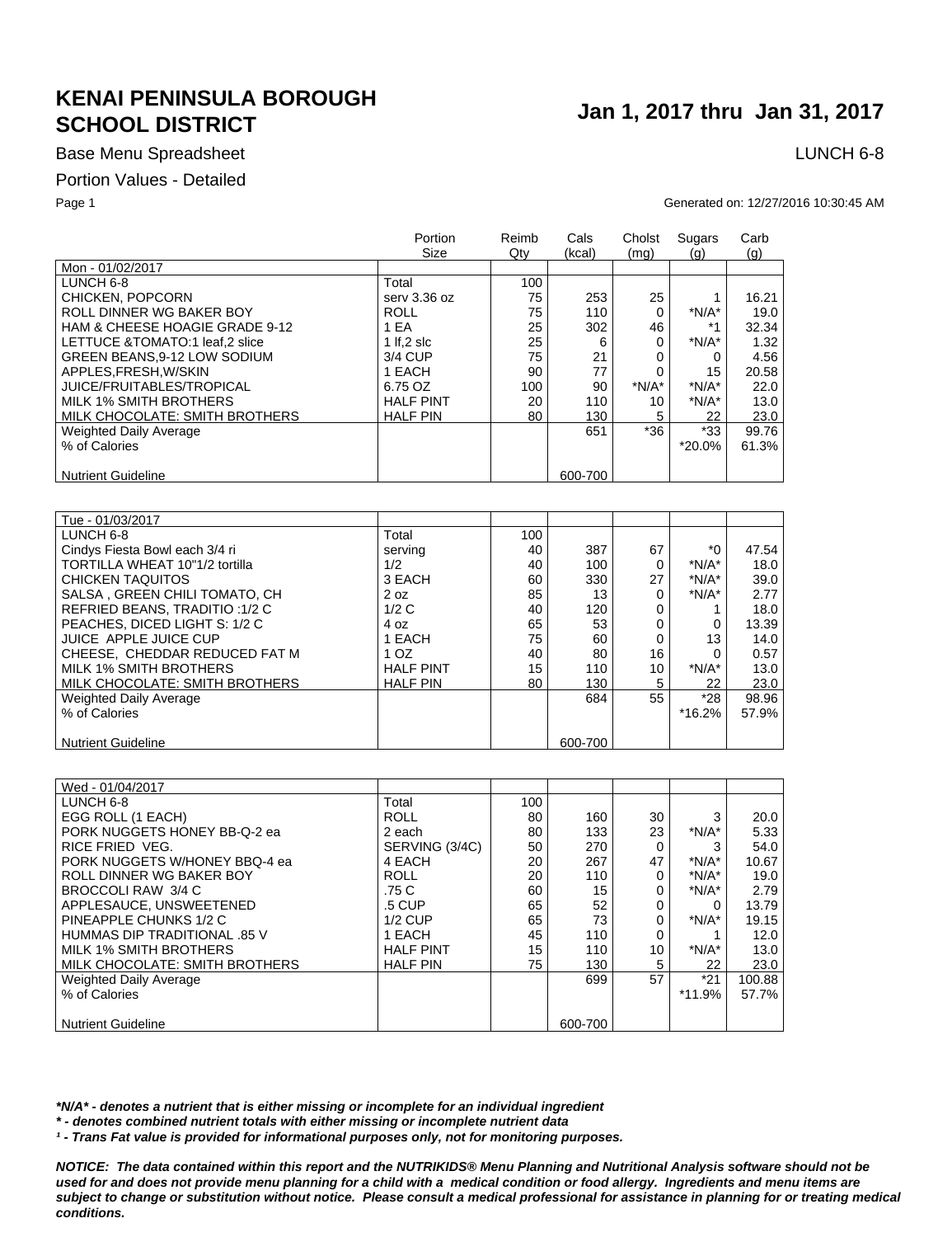## Base Menu Spreadsheet **LUNCH 6-8**

### Portion Values - Detailed

### Page 1 Generated on: 12/27/2016 10:30:45 AM

|                                | Portion<br>Size  | Reimb<br>Qty | Cals<br>(kcal) | Cholst<br>(mq) | Sugars<br>(q) | Carb<br>(q) |
|--------------------------------|------------------|--------------|----------------|----------------|---------------|-------------|
| Mon - 01/02/2017               |                  |              |                |                |               |             |
| LUNCH 6-8                      | Total            | 100          |                |                |               |             |
| CHICKEN, POPCORN               | serv 3.36 oz     | 75           | 253            | 25             |               | 16.21       |
| ROLL DINNER WG BAKER BOY       | <b>ROLL</b>      | 75           | 110            | 0              | $*N/A*$       | 19.0        |
| HAM & CHEESE HOAGIE GRADE 9-12 | 1 EA             | 25           | 302            | 46             | $*1$          | 32.34       |
| LETTUCE &TOMATO:1 leaf,2 slice | 1 If $.2$ slc    | 25           | 6              | 0              | $*N/A*$       | 1.32        |
| GREEN BEANS, 9-12 LOW SODIUM   | 3/4 CUP          | 75           | 21             | 0              | 0             | 4.56        |
| APPLES.FRESH.W/SKIN            | 1 EACH           | 90           | 77             | 0              | 15            | 20.58       |
| JUICE/FRUITABLES/TROPICAL      | 6.75 OZ          | 100          | 90             | $*N/A*$        | $*N/A*$       | 22.0        |
| MILK 1% SMITH BROTHERS         | <b>HALF PINT</b> | 20           | 110            | 10             | $*N/A*$       | 13.0        |
| MILK CHOCOLATE: SMITH BROTHERS | <b>HALF PIN</b>  | 80           | 130            | 5              | 22            | 23.0        |
| Weighted Daily Average         |                  |              | 651            | $*36$          | *33           | 99.76       |
| % of Calories                  |                  |              |                |                | *20.0%        | 61.3%       |
| <b>Nutrient Guideline</b>      |                  |              | 600-700        |                |               |             |
|                                |                  |              |                |                |               |             |

| Tue - 01/03/2017               |                  |     |         |    |          |       |
|--------------------------------|------------------|-----|---------|----|----------|-------|
| LUNCH 6-8                      | Total            | 100 |         |    |          |       |
| Cindys Fiesta Bowl each 3/4 ri | serving          | 40  | 387     | 67 | $*$ 0    | 47.54 |
| TORTILLA WHEAT 10"1/2 tortilla | 1/2              | 40  | 100     | 0  | $*N/A*$  | 18.0  |
| <b>CHICKEN TAQUITOS</b>        | 3 EACH           | 60  | 330     | 27 | $*N/A*$  | 39.0  |
| SALSA, GREEN CHILI TOMATO, CH  | 2 oz             | 85  | 13      | 0  | $*N/A*$  | 2.77  |
| REFRIED BEANS, TRADITIO: 1/2 C | 1/2C             | 40  | 120     | 0  |          | 18.0  |
| PEACHES, DICED LIGHT S: 1/2 C  | 4 oz             | 65  | 53      | 0  |          | 13.39 |
| JUICE APPLE JUICE CUP          | 1 EACH           | 75  | 60      | 0  | 13       | 14.0  |
| CHEESE, CHEDDAR REDUCED FAT M  | 1 <sub>OZ</sub>  | 40  | 80      | 16 |          | 0.57  |
| MILK 1% SMITH BROTHERS         | <b>HALF PINT</b> | 15  | 110     | 10 | $*N/A*$  | 13.0  |
| MILK CHOCOLATE: SMITH BROTHERS | <b>HALF PIN</b>  | 80  | 130     | 5  | 22       | 23.0  |
| Weighted Daily Average         |                  |     | 684     | 55 | $*28$    | 98.96 |
| % of Calories                  |                  |     |         |    | $*16.2%$ | 57.9% |
|                                |                  |     |         |    |          |       |
| <b>Nutrient Guideline</b>      |                  |     | 600-700 |    |          |       |

| Wed - 01/04/2017               |                  |     |         |    |          |        |
|--------------------------------|------------------|-----|---------|----|----------|--------|
| LUNCH 6-8                      | Total            | 100 |         |    |          |        |
| EGG ROLL (1 EACH)              | <b>ROLL</b>      | 80  | 160     | 30 | 3        | 20.0   |
| PORK NUGGETS HONEY BB-Q-2 ea   | 2 each           | 80  | 133     | 23 | $*N/A*$  | 5.33   |
| RICE FRIED VEG.                | SERVING (3/4C)   | 50  | 270     | 0  | 3        | 54.0   |
| PORK NUGGETS W/HONEY BBQ-4 ea  | 4 EACH           | 20  | 267     | 47 | $*N/A*$  | 10.67  |
| ROLL DINNER WG BAKER BOY       | <b>ROLL</b>      | 20  | 110     | 0  | $*N/A*$  | 19.0   |
| BROCCOLI RAW 3/4 C             | .75 C            | 60  | 15      | 0  | $*N/A*$  | 2.79   |
| APPLESAUCE, UNSWEETENED        | .5 CUP           | 65  | 52      | 0  | 0        | 13.79  |
| PINEAPPLE CHUNKS 1/2 C         | $1/2$ CUP        | 65  | 73      | 0  | $*N/A*$  | 19.15  |
| HUMMAS DIP TRADITIONAL .85 V   | 1 EACH           | 45  | 110     | 0  |          | 12.0   |
| MILK 1% SMITH BROTHERS         | <b>HALF PINT</b> | 15  | 110     | 10 | $*N/A*$  | 13.0   |
| MILK CHOCOLATE: SMITH BROTHERS | <b>HALF PIN</b>  | 75  | 130     | 5  | 22       | 23.0   |
| <b>Weighted Daily Average</b>  |                  |     | 699     | 57 | $*21$    | 100.88 |
| % of Calories                  |                  |     |         |    | $*11.9%$ | 57.7%  |
|                                |                  |     |         |    |          |        |
| <b>Nutrient Guideline</b>      |                  |     | 600-700 |    |          |        |

*\*N/A\* - denotes a nutrient that is either missing or incomplete for an individual ingredient*

*\* - denotes combined nutrient totals with either missing or incomplete nutrient data*

*¹ - Trans Fat value is provided for informational purposes only, not for monitoring purposes.*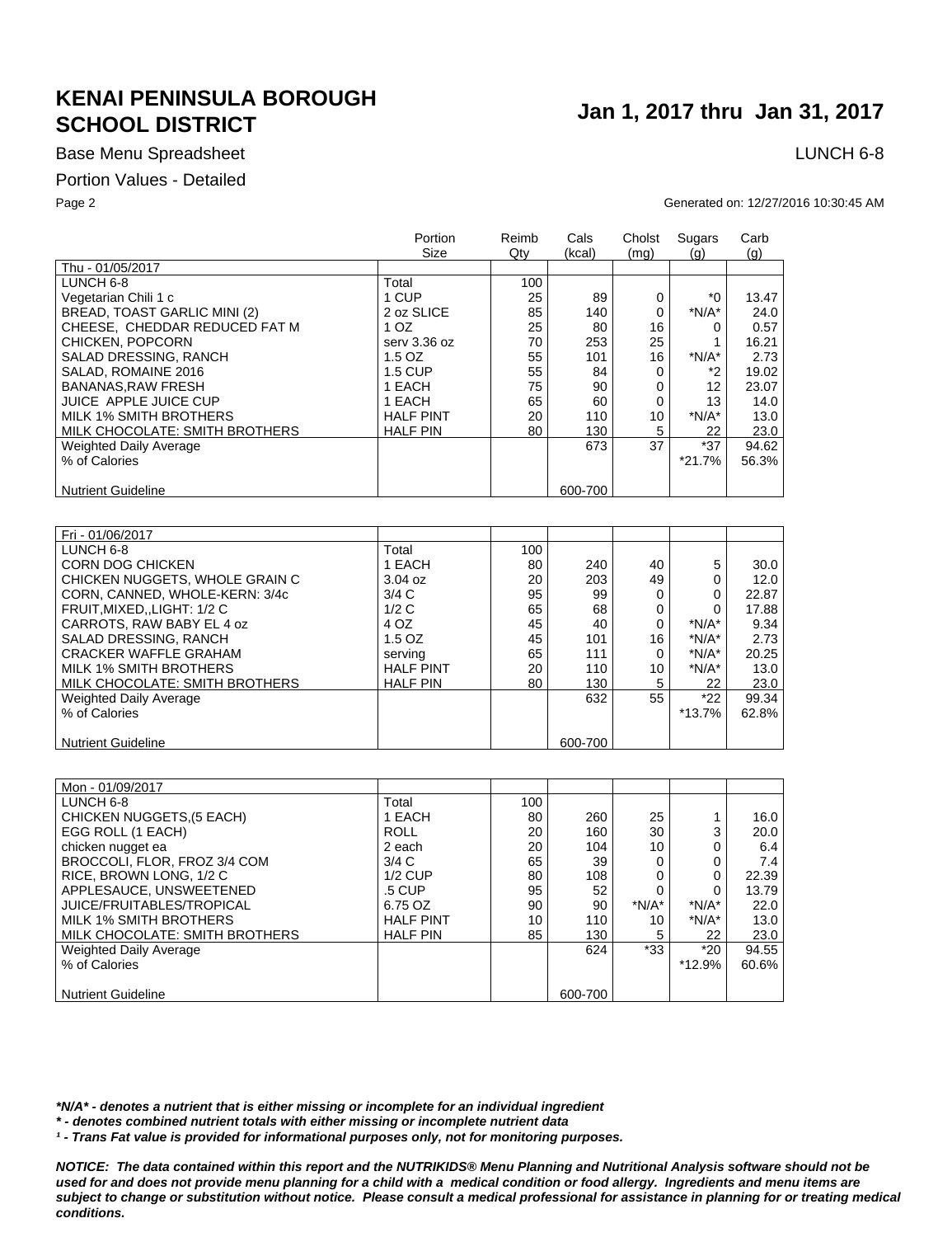## Base Menu Spreadsheet **LUNCH 6-8**

### Portion Values - Detailed

### Page 2 Generated on: 12/27/2016 10:30:45 AM

|                                | Portion<br>Size  | Reimb<br>Qty | Cals<br>(kcal) | Cholst<br>(mq) | Sugars<br>(q) | Carb<br>(q) |
|--------------------------------|------------------|--------------|----------------|----------------|---------------|-------------|
| Thu - 01/05/2017               |                  |              |                |                |               |             |
| LUNCH 6-8                      | Total            | 100          |                |                |               |             |
| Vegetarian Chili 1 c           | 1 CUP            | 25           | 89             | 0              | *0            | 13.47       |
| BREAD, TOAST GARLIC MINI (2)   | 2 oz SLICE       | 85           | 140            | 0              | $*N/A*$       | 24.0        |
| CHEESE, CHEDDAR REDUCED FAT M  | 1 <sub>OZ</sub>  | 25           | 80             | 16             | 0             | 0.57        |
| CHICKEN, POPCORN               | serv 3.36 oz     | 70           | 253            | 25             |               | 16.21       |
| SALAD DRESSING, RANCH          | $1.5$ OZ         | 55           | 101            | 16             | $*N/A*$       | 2.73        |
| SALAD, ROMAINE 2016            | <b>1.5 CUP</b>   | 55           | 84             | 0              | *2            | 19.02       |
| <b>BANANAS, RAW FRESH</b>      | 1 EACH           | 75           | 90             | 0              | 12            | 23.07       |
| <b>JUICE APPLE JUICE CUP</b>   | 1 EACH           | 65           | 60             | $\mathbf 0$    | 13            | 14.0        |
| <b>MILK 1% SMITH BROTHERS</b>  | <b>HALF PINT</b> | 20           | 110            | 10             | $*N/A*$       | 13.0        |
| MILK CHOCOLATE: SMITH BROTHERS | <b>HALF PIN</b>  | 80           | 130            | 5              | 22            | 23.0        |
| <b>Weighted Daily Average</b>  |                  |              | 673            | 37             | $*37$         | 94.62       |
| % of Calories                  |                  |              |                |                | $*21.7%$      | 56.3%       |
|                                |                  |              |                |                |               |             |
| <b>Nutrient Guideline</b>      |                  |              | 600-700        |                |               |             |

| Fri - 01/06/2017               |                  |     |         |    |          |       |
|--------------------------------|------------------|-----|---------|----|----------|-------|
| LUNCH 6-8                      | Total            | 100 |         |    |          |       |
| CORN DOG CHICKEN               | 1 EACH           | 80  | 240     | 40 | 5        | 30.0  |
| CHICKEN NUGGETS, WHOLE GRAIN C | 3.04 oz          | 20  | 203     | 49 |          | 12.0  |
| CORN. CANNED. WHOLE-KERN: 3/4c | 3/4 C            | 95  | 99      | 0  | 0        | 22.87 |
| FRUIT.MIXEDLIGHT: 1/2 C        | 1/2C             | 65  | 68      | 0  | 0        | 17.88 |
| CARROTS, RAW BABY EL 4 oz      | 4 OZ             | 45  | 40      | 0  | $*N/A*$  | 9.34  |
| SALAD DRESSING, RANCH          | $1.5$ OZ         | 45  | 101     | 16 | $*N/A*$  | 2.73  |
| <b>CRACKER WAFFLE GRAHAM</b>   | servina          | 65  | 111     | 0  | $*N/A*$  | 20.25 |
| MILK 1% SMITH BROTHERS         | <b>HALF PINT</b> | 20  | 110     | 10 | $*N/A*$  | 13.0  |
| MILK CHOCOLATE: SMITH BROTHERS | <b>HALF PIN</b>  | 80  | 130     | 5  | 22       | 23.0  |
| Weighted Daily Average         |                  |     | 632     | 55 | $*22$    | 99.34 |
| % of Calories                  |                  |     |         |    | $*13.7%$ | 62.8% |
|                                |                  |     |         |    |          |       |
| <b>Nutrient Guideline</b>      |                  |     | 600-700 |    |          |       |

| Mon - 01/09/2017               |                  |     |         |         |          |       |
|--------------------------------|------------------|-----|---------|---------|----------|-------|
| LUNCH 6-8                      | Total            | 100 |         |         |          |       |
| CHICKEN NUGGETS, (5 EACH)      | 1 EACH           | 80  | 260     | 25      |          | 16.0  |
| EGG ROLL (1 EACH)              | <b>ROLL</b>      | 20  | 160     | 30      | 3        | 20.0  |
| chicken nugget ea              | 2 each           | 20  | 104     | 10      |          | 6.4   |
| BROCCOLI, FLOR, FROZ 3/4 COM   | 3/4C             | 65  | 39      | 0       | 0        | 7.4   |
| RICE, BROWN LONG, 1/2 C        | $1/2$ CUP        | 80  | 108     |         | 0        | 22.39 |
| APPLESAUCE, UNSWEETENED        | .5 CUP           | 95  | 52      |         |          | 13.79 |
| JUICE/FRUITABLES/TROPICAL      | 6.75 OZ          | 90  | 90      | $*N/A*$ | $*N/A*$  | 22.0  |
| MILK 1% SMITH BROTHERS         | <b>HALF PINT</b> | 10  | 110     | 10      | $*N/A*$  | 13.0  |
| MILK CHOCOLATE: SMITH BROTHERS | <b>HALF PIN</b>  | 85  | 130     | 5       | 22       | 23.0  |
| <b>Weighted Daily Average</b>  |                  |     | 624     | $*33$   | $*20$    | 94.55 |
| % of Calories                  |                  |     |         |         | $*12.9%$ | 60.6% |
|                                |                  |     |         |         |          |       |
| <b>Nutrient Guideline</b>      |                  |     | 600-700 |         |          |       |

*\*N/A\* - denotes a nutrient that is either missing or incomplete for an individual ingredient*

*\* - denotes combined nutrient totals with either missing or incomplete nutrient data*

*¹ - Trans Fat value is provided for informational purposes only, not for monitoring purposes.*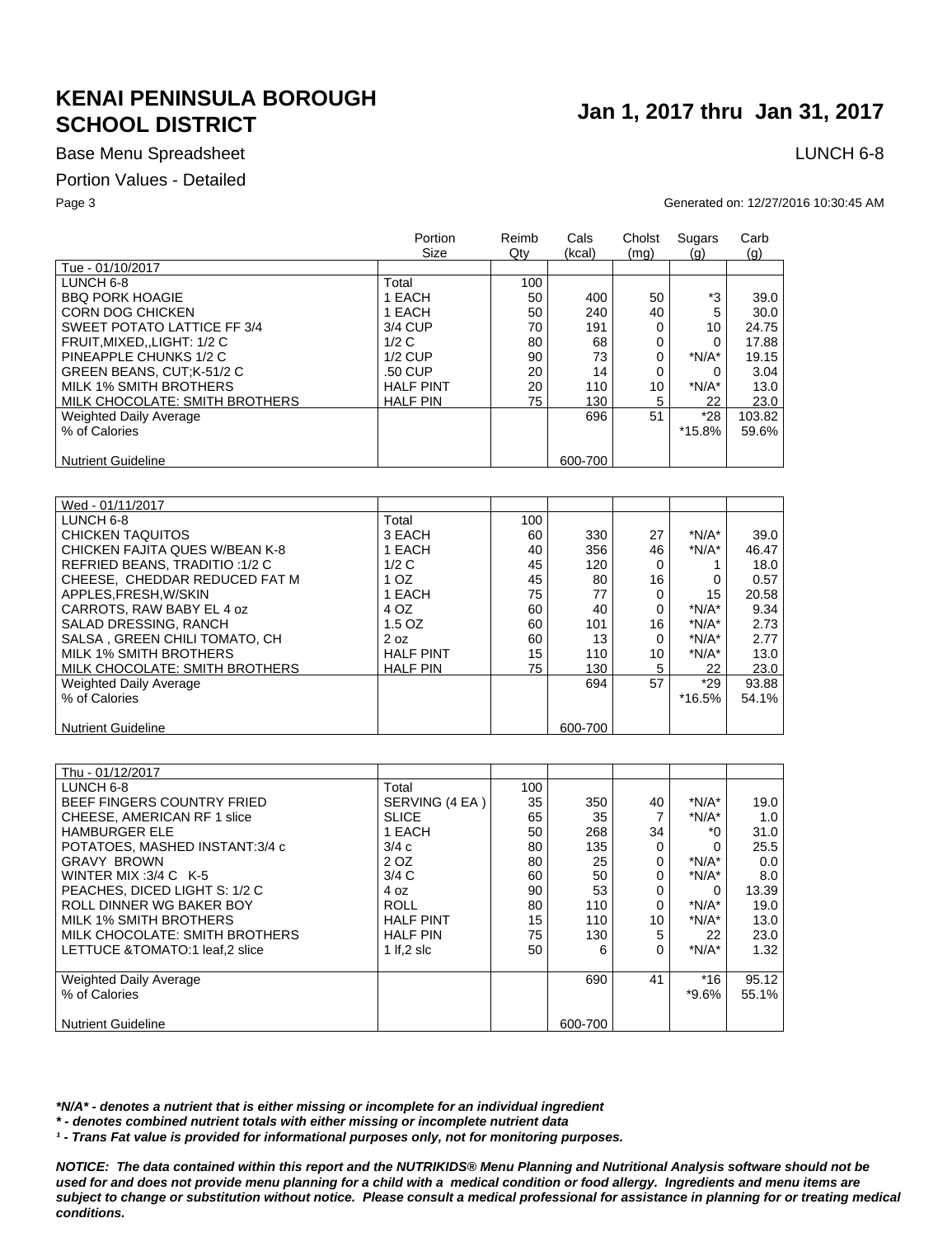## Base Menu Spreadsheet **LUNCH 6-8**

### Portion Values - Detailed

### Page 3 Generated on: 12/27/2016 10:30:45 AM

|                                | Portion<br>Size  | Reimb<br>Qtv | Cals<br>(kcal) | Cholst<br>(mq) | Sugars<br>(q) | Carb<br>(q) |
|--------------------------------|------------------|--------------|----------------|----------------|---------------|-------------|
| Tue - 01/10/2017               |                  |              |                |                |               |             |
| LUNCH 6-8                      | Total            | 100          |                |                |               |             |
| <b>BBO PORK HOAGIE</b>         | 1 EACH           | 50           | 400            | 50             | *3            | 39.0        |
| <b>CORN DOG CHICKEN</b>        | 1 EACH           | 50           | 240            | 40             | 5             | 30.0        |
| SWEET POTATO LATTICE FF 3/4    | 3/4 CUP          | 70           | 191            | 0              | 10            | 24.75       |
| FRUIT, MIXED, , LIGHT: 1/2 C   | 1/2C             | 80           | 68             | 0              | 0             | 17.88       |
| PINEAPPLE CHUNKS 1/2 C         | $1/2$ CUP        | 90           | 73             | 0              | $*N/A*$       | 19.15       |
| GREEN BEANS, CUT;K-51/2 C      | .50 CUP          | 20           | 14             | 0              |               | 3.04        |
| MILK 1% SMITH BROTHERS         | <b>HALF PINT</b> | 20           | 110            | 10             | $*N/A*$       | 13.0        |
| MILK CHOCOLATE: SMITH BROTHERS | <b>HALF PIN</b>  | 75           | 130            | 5              | 22            | 23.0        |
| <b>Weighted Daily Average</b>  |                  |              | 696            | 51             | $*28$         | 103.82      |
| % of Calories                  |                  |              |                |                | $*15.8%$      | 59.6%       |
|                                |                  |              |                |                |               |             |
| <b>Nutrient Guideline</b>      |                  |              | 600-700        |                |               |             |

| Wed - 01/11/2017               |                  |     |         |    |         |       |
|--------------------------------|------------------|-----|---------|----|---------|-------|
| LUNCH 6-8                      | Total            | 100 |         |    |         |       |
| <b>CHICKEN TAQUITOS</b>        | 3 EACH           | 60  | 330     | 27 | $*N/A*$ | 39.0  |
| CHICKEN FAJITA QUES W/BEAN K-8 | 1 EACH           | 40  | 356     | 46 | $*N/A*$ | 46.47 |
| REFRIED BEANS, TRADITIO: 1/2 C | 1/2C             | 45  | 120     | 0  |         | 18.0  |
| CHEESE. CHEDDAR REDUCED FAT M  | 1 <sub>OZ</sub>  | 45  | 80      | 16 | 0       | 0.57  |
| APPLES.FRESH.W/SKIN            | 1 EACH           | 75  | 77      | 0  | 15      | 20.58 |
| CARROTS, RAW BABY EL 4 oz      | 4 OZ             | 60  | 40      | 0  | $*N/A*$ | 9.34  |
| SALAD DRESSING, RANCH          | $1.5$ OZ         | 60  | 101     | 16 | $*N/A*$ | 2.73  |
| SALSA. GREEN CHILI TOMATO. CH  | 2 oz             | 60  | 13      | 0  | $*N/A*$ | 2.77  |
| MILK 1% SMITH BROTHERS         | <b>HALF PINT</b> | 15  | 110     | 10 | $*N/A*$ | 13.0  |
| MILK CHOCOLATE: SMITH BROTHERS | <b>HALF PIN</b>  | 75  | 130     | 5  | 22      | 23.0  |
| <b>Weighted Daily Average</b>  |                  |     | 694     | 57 | $*29$   | 93.88 |
| % of Calories                  |                  |     |         |    | *16.5%  | 54.1% |
|                                |                  |     |         |    |         |       |
| <b>Nutrient Guideline</b>      |                  |     | 600-700 |    |         |       |

| Thu - 01/12/2017               |                  |     |         |    |          |       |
|--------------------------------|------------------|-----|---------|----|----------|-------|
| LUNCH 6-8                      | Total            | 100 |         |    |          |       |
| BEEF FINGERS COUNTRY FRIED     | SERVING (4 EA)   | 35  | 350     | 40 | $*N/A*$  | 19.0  |
| CHEESE, AMERICAN RF 1 slice    | <b>SLICE</b>     | 65  | 35      | 7  | $*N/A*$  | 1.0   |
| <b>HAMBURGER ELE</b>           | 1 EACH           | 50  | 268     | 34 | *Ω       | 31.0  |
| POTATOES. MASHED INSTANT:3/4 c | 3/4c             | 80  | 135     | 0  | 0        | 25.5  |
| <b>GRAVY BROWN</b>             | 2 OZ             | 80  | 25      | 0  | $*N/A*$  | 0.0   |
| WINTER MIX: $3/4$ C K-5        | 3/4C             | 60  | 50      | 0  | $*N/A*$  | 8.0   |
| PEACHES, DICED LIGHT S: 1/2 C  | 4 oz             | 90  | 53      | 0  | 0        | 13.39 |
| ROLL DINNER WG BAKER BOY       | <b>ROLL</b>      | 80  | 110     | 0  | $*N/A*$  | 19.0  |
| <b>MILK 1% SMITH BROTHERS</b>  | <b>HALF PINT</b> | 15  | 110     | 10 | $*N/A*$  | 13.0  |
| MILK CHOCOLATE: SMITH BROTHERS | <b>HALF PIN</b>  | 75  | 130     | 5  | 22       | 23.0  |
| LETTUCE &TOMATO:1 leaf,2 slice | 1 If $.2$ slc    | 50  | 6       | 0  | $*N/A*$  | 1.32  |
|                                |                  |     |         |    |          |       |
| <b>Weighted Daily Average</b>  |                  |     | 690     | 41 | $*16$    | 95.12 |
| % of Calories                  |                  |     |         |    | $*9.6\%$ | 55.1% |
| <b>Nutrient Guideline</b>      |                  |     | 600-700 |    |          |       |

*\*N/A\* - denotes a nutrient that is either missing or incomplete for an individual ingredient*

*\* - denotes combined nutrient totals with either missing or incomplete nutrient data*

*¹ - Trans Fat value is provided for informational purposes only, not for monitoring purposes.*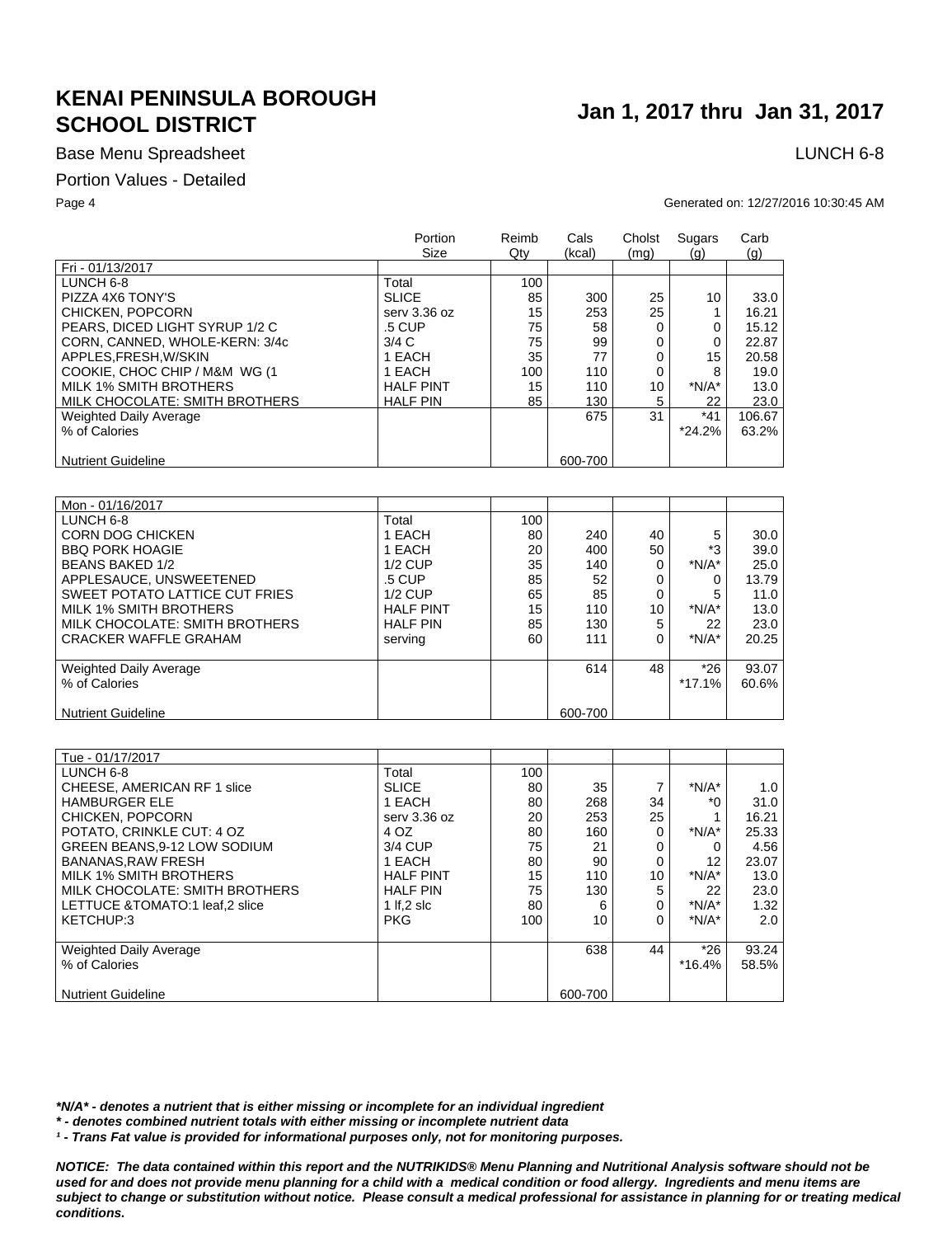## Base Menu Spreadsheet **LUNCH 6-8**

### Portion Values - Detailed

### Page 4 Generated on: 12/27/2016 10:30:45 AM

|                                | Portion<br>Size  | Reimb<br>Qty | Cals<br>(kcal) | Cholst<br>(mq) | Sugars<br>(q) | Carb<br>(q) |
|--------------------------------|------------------|--------------|----------------|----------------|---------------|-------------|
| Fri - 01/13/2017               |                  |              |                |                |               |             |
| LUNCH 6-8                      | Total            | 100          |                |                |               |             |
| PIZZA 4X6 TONY'S               | <b>SLICE</b>     | 85           | 300            | 25             | 10            | 33.0        |
| CHICKEN, POPCORN               | serv 3.36 oz     | 15           | 253            | 25             |               | 16.21       |
| PEARS, DICED LIGHT SYRUP 1/2 C | .5 CUP           | 75           | 58             | 0              | 0             | 15.12       |
| CORN, CANNED, WHOLE-KERN: 3/4c | 3/4C             | 75           | 99             | 0              | 0             | 22.87       |
| APPLES.FRESH.W/SKIN            | 1 EACH           | 35           | 77             | 0              | 15            | 20.58       |
| COOKIE, CHOC CHIP / M&M WG (1) | 1 EACH           | 100          | 110            | 0              | 8             | 19.0        |
| MILK 1% SMITH BROTHERS         | <b>HALF PINT</b> | 15           | 110            | 10             | $*N/A*$       | 13.0        |
| MILK CHOCOLATE: SMITH BROTHERS | <b>HALF PIN</b>  | 85           | 130            | 5              | 22            | 23.0        |
| Weighted Daily Average         |                  |              | 675            | 31             | $*41$         | 106.67      |
| % of Calories                  |                  |              |                |                | $*24.2%$      | 63.2%       |
| <b>Nutrient Guideline</b>      |                  |              | 600-700        |                |               |             |

| Mon - 01/16/2017               |                  |     |         |    |          |       |
|--------------------------------|------------------|-----|---------|----|----------|-------|
| LUNCH 6-8                      | Total            | 100 |         |    |          |       |
| CORN DOG CHICKEN               | 1 EACH           | 80  | 240     | 40 | 5        | 30.0  |
| <b>BBO PORK HOAGIE</b>         | 1 EACH           | 20  | 400     | 50 | *3       | 39.0  |
| <b>BEANS BAKED 1/2</b>         | $1/2$ CUP        | 35  | 140     | 0  | $*N/A*$  | 25.0  |
| APPLESAUCE, UNSWEETENED        | .5 CUP           | 85  | 52      | 0  |          | 13.79 |
| SWEET POTATO LATTICE CUT FRIES | $1/2$ CUP        | 65  | 85      | 0  |          | 11.0  |
| MILK 1% SMITH BROTHERS         | <b>HALF PINT</b> | 15  | 110     | 10 | $*N/A*$  | 13.0  |
| MILK CHOCOLATE: SMITH BROTHERS | <b>HALF PIN</b>  | 85  | 130     | 5  | 22       | 23.0  |
| <b>CRACKER WAFFLE GRAHAM</b>   | serving          | 60  | 111     | 0  | $*N/A*$  | 20.25 |
|                                |                  |     |         |    |          |       |
| Weighted Daily Average         |                  |     | 614     | 48 | $*26$    | 93.07 |
| % of Calories                  |                  |     |         |    | $*17.1%$ | 60.6% |
|                                |                  |     |         |    |          |       |
| <b>Nutrient Guideline</b>      |                  |     | 600-700 |    |          |       |

| Tue - 01/17/2017                 |                  |     |         |    |          |       |
|----------------------------------|------------------|-----|---------|----|----------|-------|
| LUNCH 6-8                        | Total            | 100 |         |    |          |       |
| CHEESE, AMERICAN RF 1 slice      | <b>SLICE</b>     | 80  | 35      | 7  | $*N/A*$  | 1.0   |
| <b>HAMBURGER ELE</b>             | 1 EACH           | 80  | 268     | 34 | ۰۴       | 31.0  |
| CHICKEN, POPCORN                 | serv 3.36 oz     | 20  | 253     | 25 |          | 16.21 |
| POTATO, CRINKLE CUT: 4 OZ        | 4 OZ             | 80  | 160     | 0  | $*N/A*$  | 25.33 |
| GREEN BEANS, 9-12 LOW SODIUM     | 3/4 CUP          | 75  | 21      |    | 0        | 4.56  |
| <b>BANANAS.RAW FRESH</b>         | 1 EACH           | 80  | 90      | 0  | 12       | 23.07 |
| MILK 1% SMITH BROTHERS           | <b>HALF PINT</b> | 15  | 110     | 10 | $*N/A*$  | 13.0  |
| MILK CHOCOLATE: SMITH BROTHERS   | <b>HALF PIN</b>  | 75  | 130     | 5  | 22       | 23.0  |
| LETTUCE & TOMATO:1 leaf, 2 slice | 1 If $.2$ slc    | 80  | 6       | 0  | $*N/A*$  | 1.32  |
| KETCHUP:3                        | <b>PKG</b>       | 100 | 10      | 0  | $*N/A*$  | 2.0   |
|                                  |                  |     |         |    |          |       |
| Weighted Daily Average           |                  |     | 638     | 44 | $*26$    | 93.24 |
| % of Calories                    |                  |     |         |    | $*16.4%$ | 58.5% |
|                                  |                  |     |         |    |          |       |
| <b>Nutrient Guideline</b>        |                  |     | 600-700 |    |          |       |

*\*N/A\* - denotes a nutrient that is either missing or incomplete for an individual ingredient*

*\* - denotes combined nutrient totals with either missing or incomplete nutrient data*

*¹ - Trans Fat value is provided for informational purposes only, not for monitoring purposes.*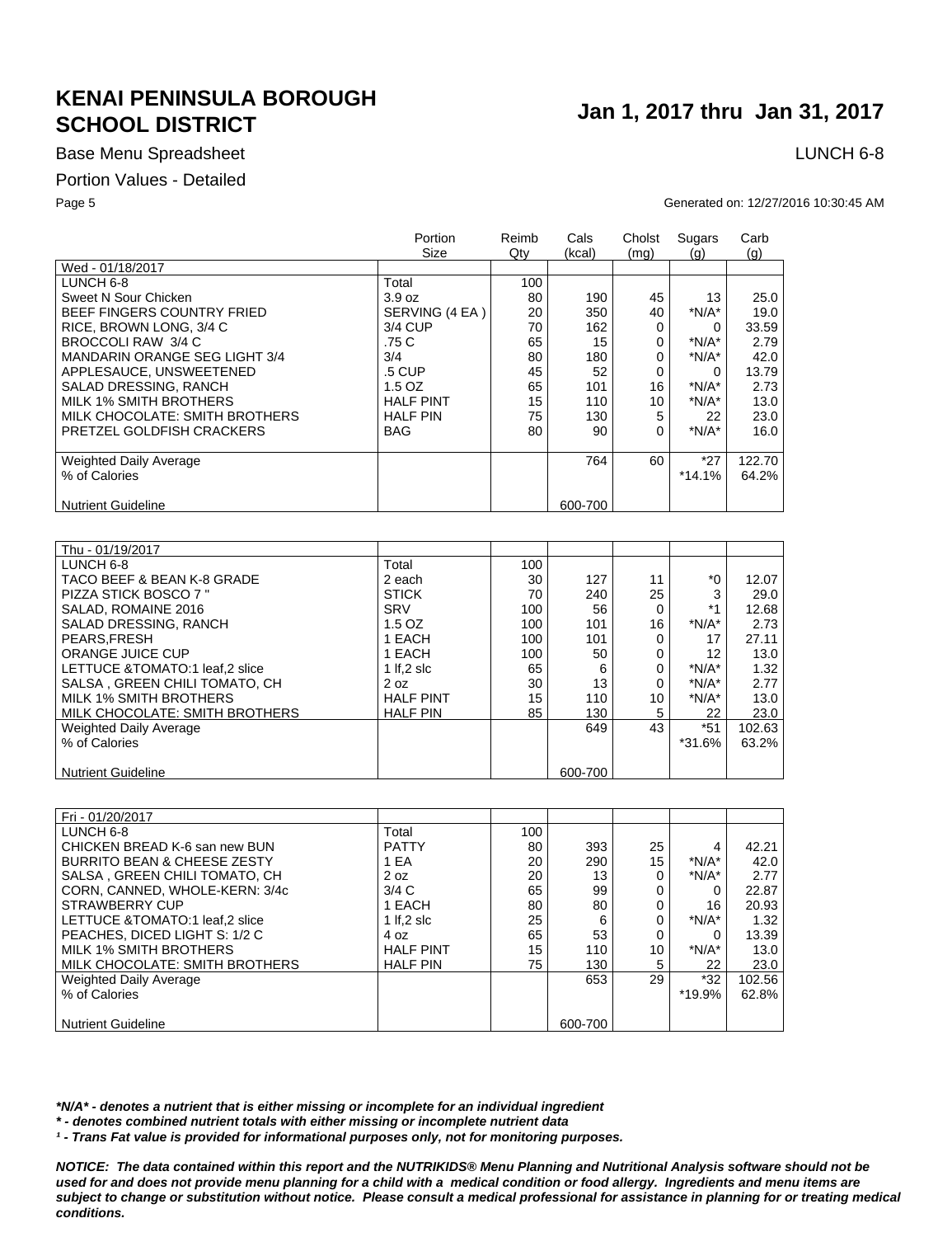## Base Menu Spreadsheet **LUNCH 6-8**

### Portion Values - Detailed

### Page 5 Generated on: 12/27/2016 10:30:45 AM

|                                      | Portion<br>Size  | Reimb<br>$Q$ ty | Cals<br>(kcal) | Cholst<br>(mq) | Sugars<br>(q) | Carb<br>(q) |
|--------------------------------------|------------------|-----------------|----------------|----------------|---------------|-------------|
| Wed - 01/18/2017                     |                  |                 |                |                |               |             |
| LUNCH 6-8                            | Total            | 100             |                |                |               |             |
| Sweet N Sour Chicken                 | 3.9 oz           | 80              | 190            | 45             | 13            | 25.0        |
| BEEF FINGERS COUNTRY FRIED           | SERVING (4 EA)   | 20              | 350            | 40             | $*N/A*$       | 19.0        |
| RICE, BROWN LONG, 3/4 C              | 3/4 CUP          | 70              | 162            | 0              | 0             | 33.59       |
| BROCCOLI RAW 3/4 C                   | .75 C            | 65              | 15             | 0              | $*N/A*$       | 2.79        |
| <b>MANDARIN ORANGE SEG LIGHT 3/4</b> | 3/4              | 80              | 180            | 0              | $*N/A*$       | 42.0        |
| APPLESAUCE, UNSWEETENED              | .5 CUP           | 45              | 52             | 0              | 0             | 13.79       |
| SALAD DRESSING, RANCH                | $1.5$ OZ         | 65              | 101            | 16             | $*N/A*$       | 2.73        |
| MILK 1% SMITH BROTHERS               | <b>HALF PINT</b> | 15              | 110            | 10             | $*N/A*$       | 13.0        |
| MILK CHOCOLATE: SMITH BROTHERS       | <b>HALF PIN</b>  | 75              | 130            | 5              | 22            | 23.0        |
| PRETZEL GOLDFISH CRACKERS            | <b>BAG</b>       | 80              | 90             | 0              | $*N/A*$       | 16.0        |
|                                      |                  |                 |                |                |               |             |
| <b>Weighted Daily Average</b>        |                  |                 | 764            | 60             | $*27$         | 122.70      |
| % of Calories                        |                  |                 |                |                | $*14.1%$      | 64.2%       |
|                                      |                  |                 |                |                |               |             |
| <b>Nutrient Guideline</b>            |                  |                 | 600-700        |                |               |             |
|                                      |                  |                 |                |                |               |             |

| Thu - 01/19/2017               |                  |     |         |    |         |        |
|--------------------------------|------------------|-----|---------|----|---------|--------|
| LUNCH 6-8                      | Total            | 100 |         |    |         |        |
| TACO BEEF & BEAN K-8 GRADE     | 2 each           | 30  | 127     | 11 | $*_{0}$ | 12.07  |
| <b>PIZZA STICK BOSCO 7 "</b>   | <b>STICK</b>     | 70  | 240     | 25 | 3       | 29.0   |
| SALAD, ROMAINE 2016            | <b>SRV</b>       | 100 | 56      | 0  | $*1$    | 12.68  |
| SALAD DRESSING, RANCH          | 1.5 OZ           | 100 | 101     | 16 | $*N/A*$ | 2.73   |
| PEARS.FRESH                    | 1 EACH           | 100 | 101     | 0  | 17      | 27.11  |
| <b>ORANGE JUICE CUP</b>        | 1 EACH           | 100 | 50      | 0  | 12      | 13.0   |
| LETTUCE &TOMATO:1 leaf.2 slice | 1 If $.2$ slc    | 65  | 6       | 0  | $*N/A*$ | 1.32   |
| SALSA, GREEN CHILI TOMATO, CH  | 2 oz             | 30  | 13      | 0  | $*N/A*$ | 2.77   |
| MILK 1% SMITH BROTHERS         | <b>HALF PINT</b> | 15  | 110     | 10 | $*N/A*$ | 13.0   |
| MILK CHOCOLATE: SMITH BROTHERS | <b>HALF PIN</b>  | 85  | 130     | 5  | 22      | 23.0   |
| Weighted Daily Average         |                  |     | 649     | 43 | $*51$   | 102.63 |
| % of Calories                  |                  |     |         |    | *31.6%  | 63.2%  |
|                                |                  |     |         |    |         |        |
| <b>Nutrient Guideline</b>      |                  |     | 600-700 |    |         |        |

| Fri - 01/20/2017                       |                  |     |         |    |         |        |
|----------------------------------------|------------------|-----|---------|----|---------|--------|
| LUNCH 6-8                              | Total            | 100 |         |    |         |        |
| CHICKEN BREAD K-6 san new BUN          | <b>PATTY</b>     | 80  | 393     | 25 | 4       | 42.21  |
| <b>BURRITO BEAN &amp; CHEESE ZESTY</b> | 1 EA             | 20  | 290     | 15 | $*N/A*$ | 42.0   |
| SALSA, GREEN CHILI TOMATO, CH          | 2 oz             | 20  | 13      | 0  | $*N/A*$ | 2.77   |
| CORN, CANNED, WHOLE-KERN: 3/4c         | 3/4C             | 65  | 99      | 0  | 0       | 22.87  |
| <b>STRAWBERRY CUP</b>                  | 1 EACH           | 80  | 80      | 0  | 16      | 20.93  |
| LETTUCE &TOMATO:1 leaf.2 slice         | 1 If $.2$ slc    | 25  | 6       | 0  | $*N/A*$ | 1.32   |
| PEACHES, DICED LIGHT S: 1/2 C          | 4 oz             | 65  | 53      | 0  |         | 13.39  |
| MILK 1% SMITH BROTHERS                 | <b>HALF PINT</b> | 15  | 110     | 10 | $*N/A*$ | 13.0   |
| MILK CHOCOLATE: SMITH BROTHERS         | <b>HALF PIN</b>  | 75  | 130     | 5  | 22      | 23.0   |
| Weighted Daily Average                 |                  |     | 653     | 29 | $*32$   | 102.56 |
| % of Calories                          |                  |     |         |    | *19.9%  | 62.8%  |
|                                        |                  |     |         |    |         |        |
| <b>Nutrient Guideline</b>              |                  |     | 600-700 |    |         |        |

*\*N/A\* - denotes a nutrient that is either missing or incomplete for an individual ingredient*

*\* - denotes combined nutrient totals with either missing or incomplete nutrient data*

*¹ - Trans Fat value is provided for informational purposes only, not for monitoring purposes.*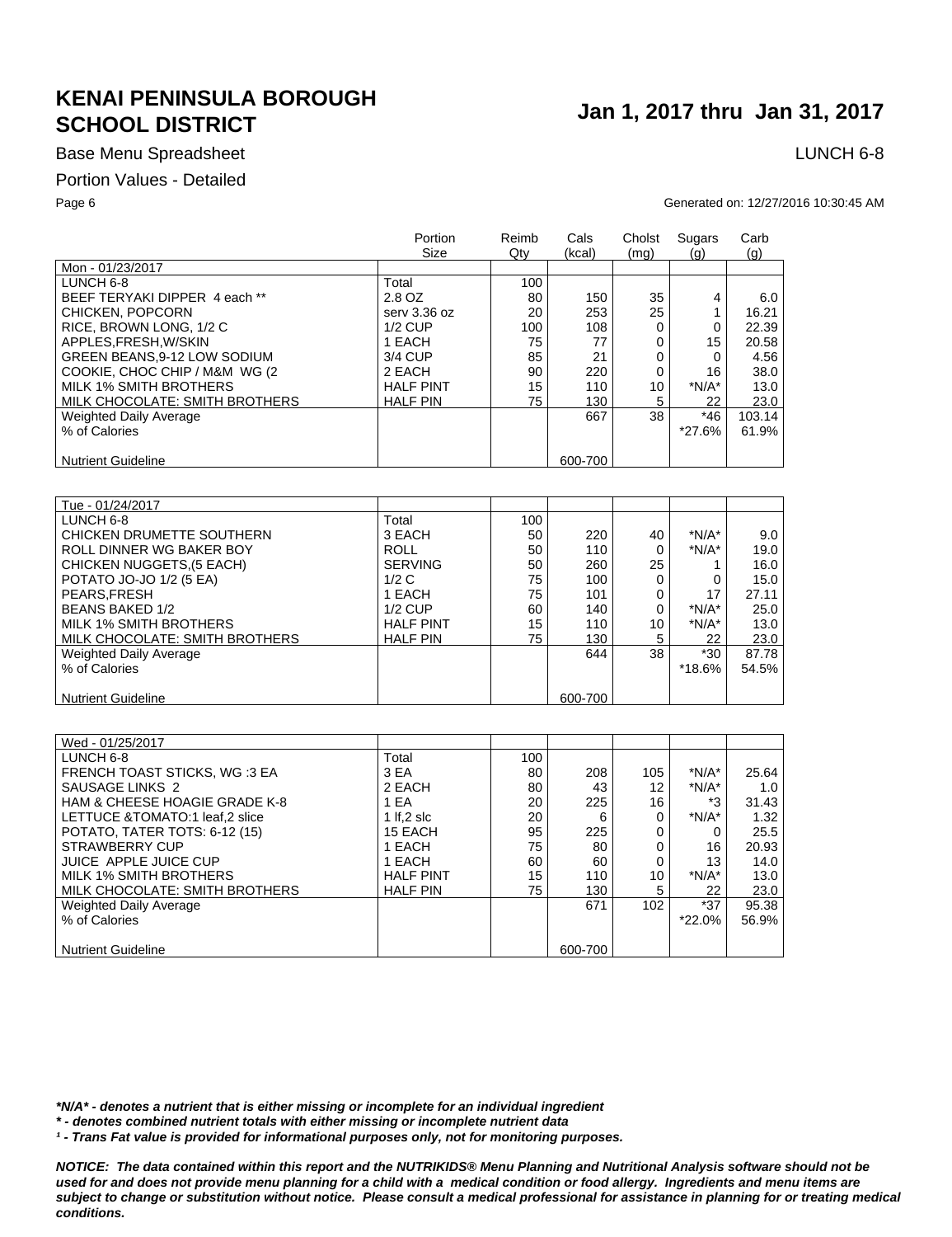## Base Menu Spreadsheet **LUNCH 6-8**

### Portion Values - Detailed

### Page 6 Generated on: 12/27/2016 10:30:45 AM

|                                | Portion<br>Size  | Reimb<br>$Q$ ty | Cals<br>(kcal) | Cholst<br>(mq) | Sugars<br>(g) | Carb<br>(q) |
|--------------------------------|------------------|-----------------|----------------|----------------|---------------|-------------|
| Mon - 01/23/2017               |                  |                 |                |                |               |             |
| LUNCH 6-8                      | Total            | 100             |                |                |               |             |
| BEEF TERYAKI DIPPER 4 each **  | 2.8 OZ           | 80              | 150            | 35             | 4             | 6.0         |
| CHICKEN, POPCORN               | serv 3.36 oz     | 20              | 253            | 25             |               | 16.21       |
| RICE, BROWN LONG, 1/2 C        | $1/2$ CUP        | 100             | 108            | 0              | 0             | 22.39       |
| APPLES.FRESH.W/SKIN            | 1 EACH           | 75              | 77             | 0              | 15            | 20.58       |
| GREEN BEANS, 9-12 LOW SODIUM   | 3/4 CUP          | 85              | 21             |                | 0             | 4.56        |
| COOKIE, CHOC CHIP / M&M WG (2) | 2 EACH           | 90              | 220            | 0              | 16            | 38.0        |
| MILK 1% SMITH BROTHERS         | <b>HALF PINT</b> | 15              | 110            | 10             | $*N/A*$       | 13.0        |
| MILK CHOCOLATE: SMITH BROTHERS | <b>HALF PIN</b>  | 75              | 130            | 5              | 22            | 23.0        |
| Weighted Daily Average         |                  |                 | 667            | 38             | *46           | 103.14      |
| % of Calories                  |                  |                 |                |                | *27.6%        | 61.9%       |
| <b>Nutrient Guideline</b>      |                  |                 | 600-700        |                |               |             |
|                                |                  |                 |                |                |               |             |

| Tue - 01/24/2017               |                  |     |         |    |         |       |
|--------------------------------|------------------|-----|---------|----|---------|-------|
| LUNCH 6-8                      | Total            | 100 |         |    |         |       |
| CHICKEN DRUMETTE SOUTHERN      | 3 EACH           | 50  | 220     | 40 | $*N/A*$ | 9.0   |
| ROLL DINNER WG BAKER BOY       | <b>ROLL</b>      | 50  | 110     | 0  | $*N/A*$ | 19.0  |
| CHICKEN NUGGETS, (5 EACH)      | <b>SERVING</b>   | 50  | 260     | 25 |         | 16.0  |
| POTATO JO-JO 1/2 (5 EA)        | 1/2C             | 75  | 100     | 0  |         | 15.0  |
| PEARS, FRESH                   | 1 EACH           | 75  | 101     | 0  | 17      | 27.11 |
| BEANS BAKED 1/2                | $1/2$ CUP        | 60  | 140     | 0  | $*N/A*$ | 25.0  |
| MILK 1% SMITH BROTHERS         | <b>HALF PINT</b> | 15  | 110     | 10 | $*N/A*$ | 13.0  |
| MILK CHOCOLATE: SMITH BROTHERS | <b>HALF PIN</b>  | 75  | 130     | 5  | 22      | 23.0  |
| <b>Weighted Daily Average</b>  |                  |     | 644     | 38 | $*30$   | 87.78 |
| % of Calories                  |                  |     |         |    | *18.6%  | 54.5% |
|                                |                  |     |         |    |         |       |
| <b>Nutrient Guideline</b>      |                  |     | 600-700 |    |         |       |

| Wed - 01/25/2017                         |                  |     |         |                  |         |       |
|------------------------------------------|------------------|-----|---------|------------------|---------|-------|
| LUNCH 6-8                                | Total            | 100 |         |                  |         |       |
| FRENCH TOAST STICKS, WG:3 EA             | 3 EA             | 80  | 208     | 105              | $*N/A*$ | 25.64 |
| SAUSAGE LINKS 2                          | 2 EACH           | 80  | 43      | 12               | $*N/A*$ | 1.0   |
| <b>HAM &amp; CHEESE HOAGIE GRADE K-8</b> | 1 EA             | 20  | 225     | 16               | *3      | 31.43 |
| LETTUCE &TOMATO:1 leaf,2 slice           | 1 If, $2$ slc    | 20  | 6       | 0                | $*N/A*$ | 1.32  |
| POTATO, TATER TOTS: 6-12 (15)            | 15 EACH          | 95  | 225     | 0                |         | 25.5  |
| <b>STRAWBERRY CUP</b>                    | 1 EACH           | 75  | 80      | 0                | 16      | 20.93 |
| JUICE APPLE JUICE CUP                    | 1 EACH           | 60  | 60      | 0                | 13      | 14.0  |
| <b>MILK 1% SMITH BROTHERS</b>            | <b>HALF PINT</b> | 15  | 110     | 10               | $*N/A*$ | 13.0  |
| MILK CHOCOLATE: SMITH BROTHERS           | <b>HALF PIN</b>  | 75  | 130     | 5                | 22      | 23.0  |
| Weighted Daily Average                   |                  |     | 671     | 102 <sub>2</sub> | $*37$   | 95.38 |
| % of Calories                            |                  |     |         |                  | *22.0%  | 56.9% |
|                                          |                  |     |         |                  |         |       |
| <b>Nutrient Guideline</b>                |                  |     | 600-700 |                  |         |       |

*\*N/A\* - denotes a nutrient that is either missing or incomplete for an individual ingredient*

*\* - denotes combined nutrient totals with either missing or incomplete nutrient data*

*¹ - Trans Fat value is provided for informational purposes only, not for monitoring purposes.*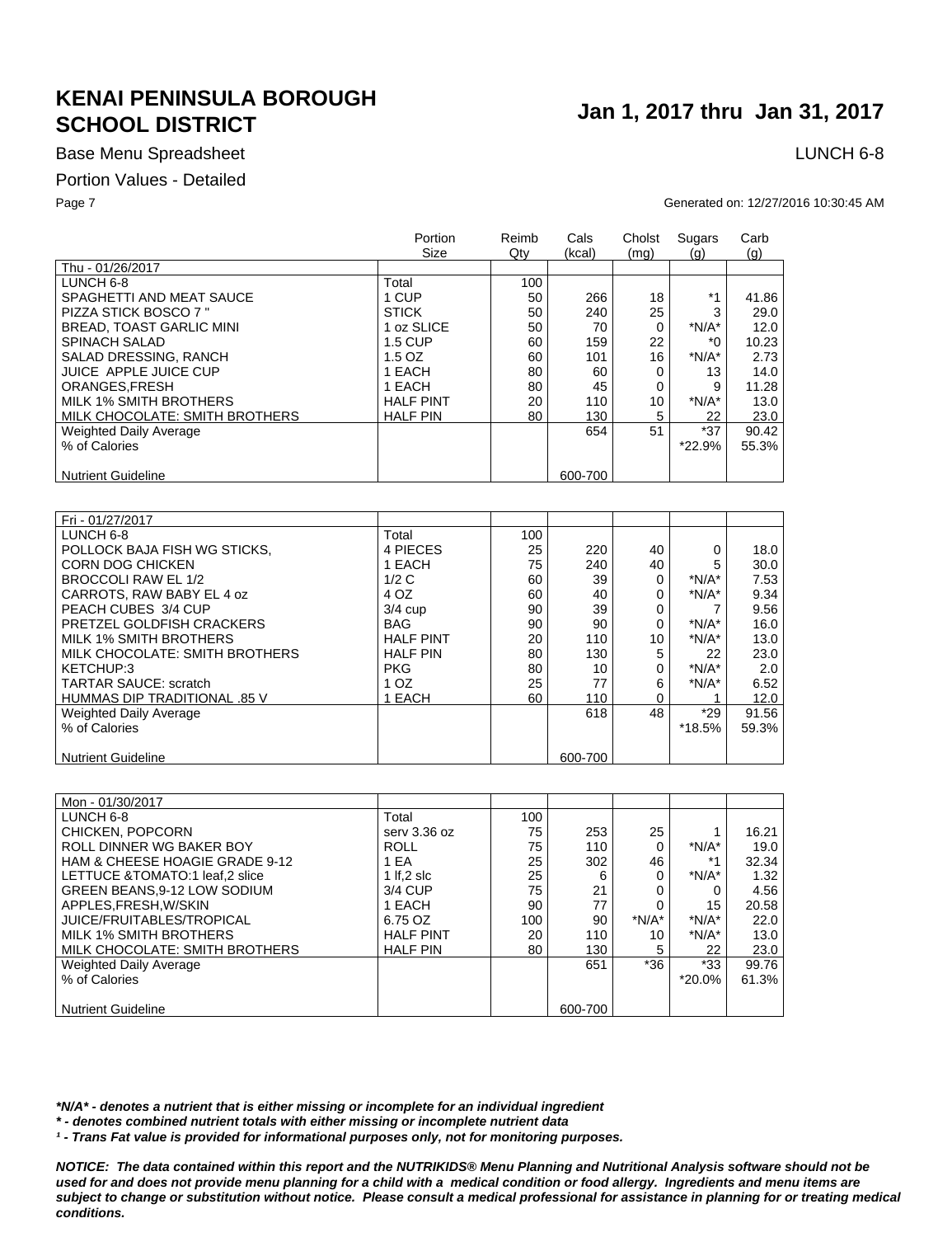## Base Menu Spreadsheet **LUNCH 6-8**

### Portion Values - Detailed

### Page 7 Generated on: 12/27/2016 10:30:45 AM

|                                | Portion<br>Size  | Reimb<br>Qty | Cals<br>(kcal) | Cholst<br>(mq) | Sugars<br>(g) | Carb<br>(q) |
|--------------------------------|------------------|--------------|----------------|----------------|---------------|-------------|
| Thu - 01/26/2017               |                  |              |                |                |               |             |
| LUNCH 6-8                      | Total            | 100          |                |                |               |             |
| SPAGHETTI AND MEAT SAUCE       | 1 CUP            | 50           | 266            | 18             | $*1$          | 41.86       |
| PIZZA STICK BOSCO 7"           | <b>STICK</b>     | 50           | 240            | 25             | 3             | 29.0        |
| BREAD, TOAST GARLIC MINI       | 1 oz SLICE       | 50           | 70             | 0              | $*N/A*$       | 12.0        |
| <b>SPINACH SALAD</b>           | 1.5 CUP          | 60           | 159            | 22             | $*_{0}$       | 10.23       |
| SALAD DRESSING, RANCH          | $1.5$ OZ         | 60           | 101            | 16             | $*N/A*$       | 2.73        |
| JUICE APPLE JUICE CUP          | 1 EACH           | 80           | 60             | 0              | 13            | 14.0        |
| ORANGES.FRESH                  | 1 EACH           | 80           | 45             | 0              | 9             | 11.28       |
| MILK 1% SMITH BROTHERS         | <b>HALF PINT</b> | 20           | 110            | 10             | $*N/A*$       | 13.0        |
| MILK CHOCOLATE: SMITH BROTHERS | <b>HALF PIN</b>  | 80           | 130            | 5              | 22            | 23.0        |
| <b>Weighted Daily Average</b>  |                  |              | 654            | 51             | $*37$         | 90.42       |
| % of Calories                  |                  |              |                |                | *22.9%        | 55.3%       |
| <b>Nutrient Guideline</b>      |                  |              | 600-700        |                |               |             |

| Fri - 01/27/2017               |                  |     |         |    |         |       |
|--------------------------------|------------------|-----|---------|----|---------|-------|
| LUNCH 6-8                      | Total            | 100 |         |    |         |       |
| POLLOCK BAJA FISH WG STICKS.   | 4 PIECES         | 25  | 220     | 40 | 0       | 18.0  |
| <b>CORN DOG CHICKEN</b>        | 1 EACH           | 75  | 240     | 40 | 5       | 30.0  |
| BROCCOLI RAW EL 1/2            | 1/2C             | 60  | 39      | 0  | $*N/A*$ | 7.53  |
| CARROTS, RAW BABY EL 4 oz      | 4 OZ             | 60  | 40      | 0  | $*N/A*$ | 9.34  |
| PEACH CUBES 3/4 CUP            | $3/4$ cup        | 90  | 39      | 0  |         | 9.56  |
| PRETZEL GOLDFISH CRACKERS      | BAG              | 90  | 90      | 0  | $*N/A*$ | 16.0  |
| MILK 1% SMITH BROTHERS         | <b>HALF PINT</b> | 20  | 110     | 10 | $*N/A*$ | 13.0  |
| MILK CHOCOLATE: SMITH BROTHERS | <b>HALF PIN</b>  | 80  | 130     | 5  | 22      | 23.0  |
| KETCHUP:3                      | <b>PKG</b>       | 80  | 10      | 0  | $*N/A*$ | 2.0   |
| <b>TARTAR SAUCE: scratch</b>   | 1 <sub>OZ</sub>  | 25  | 77      | 6  | $*N/A*$ | 6.52  |
| HUMMAS DIP TRADITIONAL .85 V   | EACH             | 60  | 110     | 0  |         | 12.0  |
| <b>Weighted Daily Average</b>  |                  |     | 618     | 48 | $*29$   | 91.56 |
| % of Calories                  |                  |     |         |    | *18.5%  | 59.3% |
|                                |                  |     |         |    |         |       |
| <b>Nutrient Guideline</b>      |                  |     | 600-700 |    |         |       |

| Mon - 01/30/2017                |                  |     |         |         |           |       |
|---------------------------------|------------------|-----|---------|---------|-----------|-------|
| LUNCH 6-8                       | Total            | 100 |         |         |           |       |
| CHICKEN, POPCORN                | serv 3.36 oz     | 75  | 253     | 25      |           | 16.21 |
| ROLL DINNER WG BAKER BOY        | <b>ROLL</b>      | 75  | 110     | 0       | $*N/A*$   | 19.0  |
| HAM & CHEESE HOAGIE GRADE 9-12  | 1 EA             | 25  | 302     | 46      | $*1$      | 32.34 |
| LETTUCE & TOMATO:1 leaf.2 slice | 1 If, $2$ slc    | 25  | 6       | 0       | $*N/A*$   | 1.32  |
| GREEN BEANS.9-12 LOW SODIUM     | 3/4 CUP          | 75  | 21      | 0       |           | 4.56  |
| APPLES, FRESH, W/SKIN           | 1 EACH           | 90  | 77      | 0       | 15        | 20.58 |
| JUICE/FRUITABLES/TROPICAL       | 6.75 OZ          | 100 | 90      | $*N/A*$ | $*N/A*$   | 22.0  |
| MILK 1% SMITH BROTHERS          | <b>HALF PINT</b> | 20  | 110     | 10      | $*N/A*$   | 13.0  |
| MILK CHOCOLATE: SMITH BROTHERS  | <b>HALF PIN</b>  | 80  | 130     | 5       | 22        | 23.0  |
| Weighted Daily Average          |                  |     | 651     | $*36$   | $*33$     | 99.76 |
| % of Calories                   |                  |     |         |         | $*20.0\%$ | 61.3% |
|                                 |                  |     |         |         |           |       |
| <b>Nutrient Guideline</b>       |                  |     | 600-700 |         |           |       |

*\*N/A\* - denotes a nutrient that is either missing or incomplete for an individual ingredient*

*\* - denotes combined nutrient totals with either missing or incomplete nutrient data*

*¹ - Trans Fat value is provided for informational purposes only, not for monitoring purposes.*